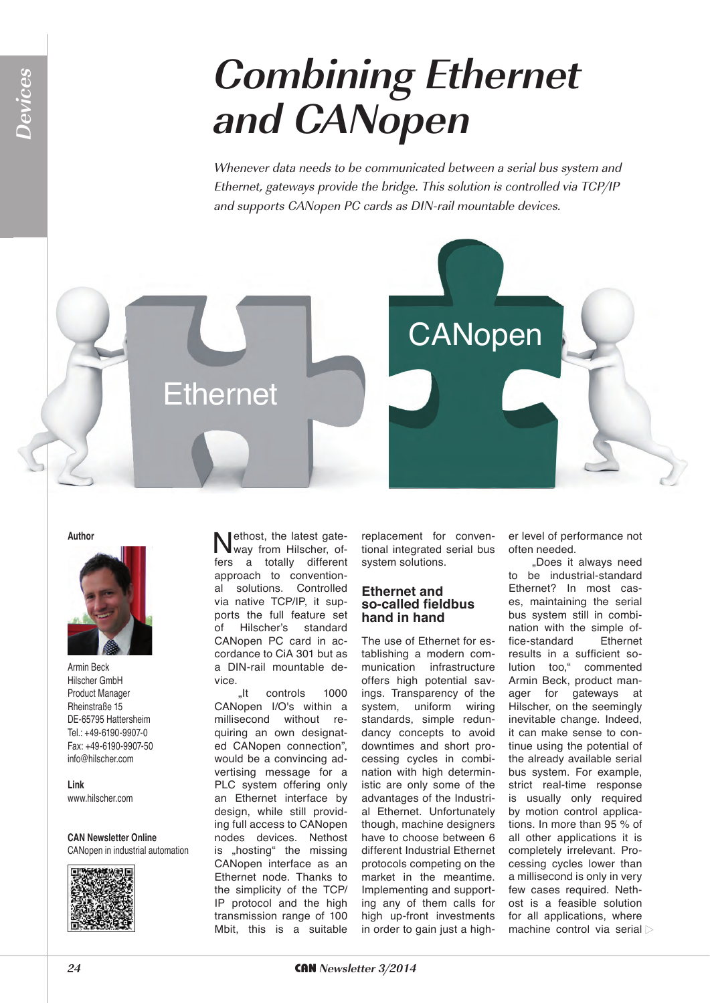## **Combining Ethernet and CANopen**

Whenever data needs to be communicated between a serial bus system and Ethernet, gateways provide the bridge. This solution is controlled via TCP/IP and supports CANopen PC cards as DIN-rail mountable devices.



**Author**

**Devices**



Armin Beck Hilscher GmbH Product Manager Rheinstraße 15 DE-65795 Hattersheim Tel.: +49-6190-9907-0 Fax: +49-6190-9907-50 info@hilscher.com

**Link** www.hilscher.com

**CAN Newsletter Online** CANopen in industrial automation



Nethost, the latest gate-<br>way from Hilscher, offers a totally different approach to conventional solutions. Controlled via native TCP/IP, it supports the full feature set of Hilscher's standard CANopen PC card in accordance to CiA 301 but as a DIN-rail mountable device.

"It controls 1000 CANopen I/O's within a millisecond without requiring an own designated CANopen connection", would be a convincing advertising message for a PLC system offering only an Ethernet interface by design, while still providing full access to CANopen nodes devices. Nethost is "hosting" the missing CANopen interface as an Ethernet node. Thanks to the simplicity of the TCP/ IP protocol and the high transmission range of 100 Mbit, this is a suitable

replacement for conventional integrated serial bus system solutions.

#### **Ethernet and so-called fieldbus hand in hand**

The use of Ethernet for establishing a modern communication infrastructure offers high potential savings. Transparency of the system, uniform wiring standards, simple redundancy concepts to avoid downtimes and short processing cycles in combination with high deterministic are only some of the advantages of the Industrial Ethernet. Unfortunately though, machine designers have to choose between 6 different Industrial Ethernet protocols competing on the market in the meantime. Implementing and supporting any of them calls for high up-front investments in order to gain just a higher level of performance not often needed.

"Does it always need to be industrial-standard Ethernet? In most cases, maintaining the serial bus system still in combination with the simple office-standard Ethernet results in a sufficient solution too," commented Armin Beck, product manager for gateways at Hilscher, on the seemingly inevitable change. Indeed, it can make sense to continue using the potential of the already available serial bus system. For example, strict real-time response is usually only required by motion control applications. In more than 95 % of all other applications it is completely irrelevant. Processing cycles lower than a millisecond is only in very few cases required. Nethost is a feasible solution for all applications, where machine control via serial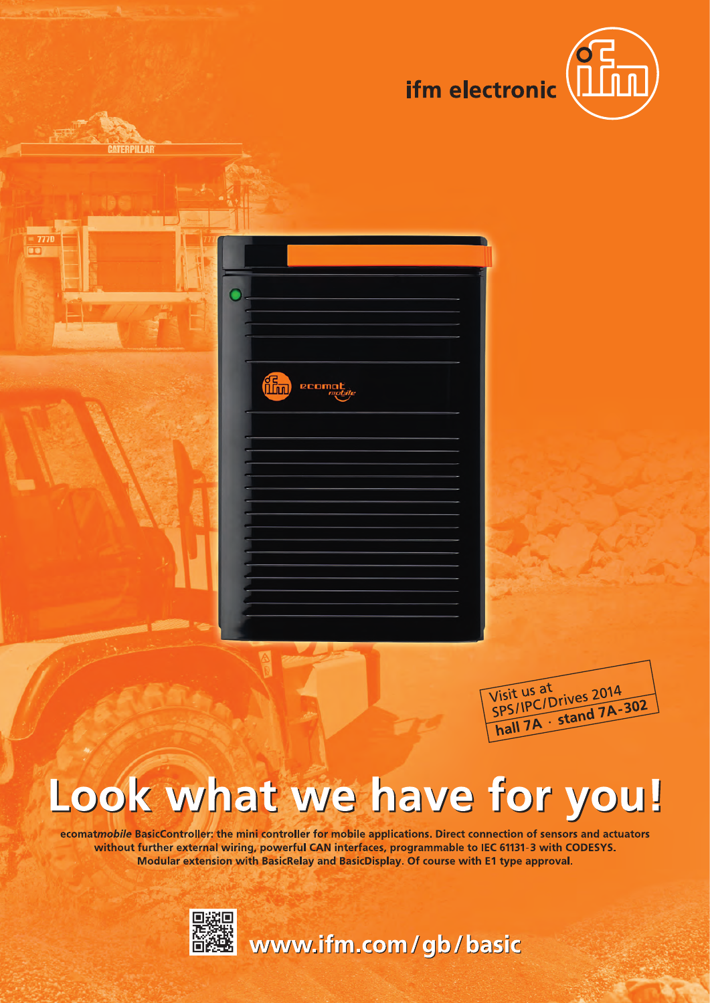

| ٠ |     |        |  |
|---|-----|--------|--|
|   |     |        |  |
|   |     |        |  |
|   |     |        |  |
|   |     |        |  |
|   |     |        |  |
|   |     |        |  |
|   |     |        |  |
|   | the | ecomat |  |
|   |     |        |  |
|   |     |        |  |
|   |     |        |  |
|   |     |        |  |
|   |     |        |  |
|   |     |        |  |
|   |     |        |  |
|   |     |        |  |
|   |     |        |  |
|   |     |        |  |
|   |     |        |  |
|   |     |        |  |
|   |     |        |  |
|   |     |        |  |
|   |     |        |  |
|   |     |        |  |
|   |     |        |  |
|   |     |        |  |
|   |     |        |  |



# Look what we have for you!

ecomatmobile BasicController: the mini controller for mobile applications. Direct connection of sensors and actuators without further external wiring, powerful CAN interfaces, programmable to IEC 61131-3 with CODESYS. Modular extension with BasicRelay and BasicDisplay. Of course with E1 type approval.



TERPILLAR

www.ifm.com/gb/basic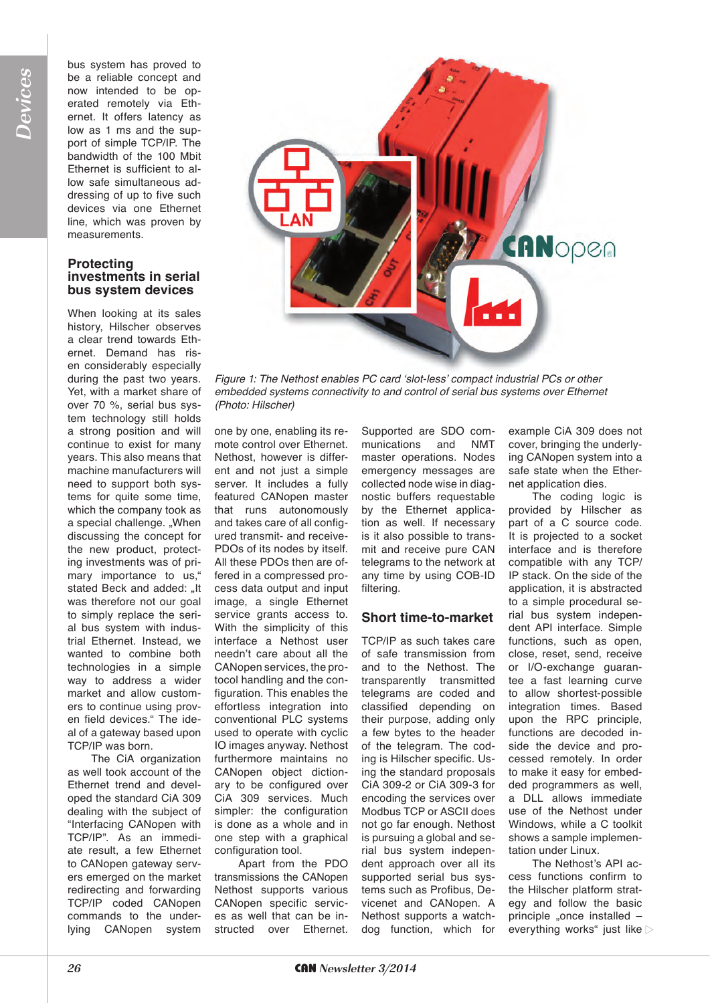bus system has proved to be a reliable concept and now intended to be operated remotely via Ethernet. It offers latency as low as 1 ms and the support of simple TCP/IP. The bandwidth of the 100 Mbit Ethernet is sufficient to allow safe simultaneous addressing of up to five such devices via one Ethernet line, which was proven by measurements.

#### **Protecting investments in serial bus system devices**

When looking at its sales history, Hilscher observes a clear trend towards Ethernet. Demand has risen considerably especially during the past two years. Yet, with a market share of over 70 %, serial bus system technology still holds a strong position and will continue to exist for many years. This also means that machine manufacturers will need to support both systems for quite some time, which the company took as a special challenge. "When discussing the concept for the new product, protecting investments was of primary importance to us," stated Beck and added: "It was therefore not our goal to simply replace the serial bus system with industrial Ethernet. Instead, we wanted to combine both technologies in a simple way to address a wider market and allow customers to continue using proven field devices." The ideal of a gateway based upon TCP/IP was born.

The CiA organization as well took account of the Ethernet trend and developed the standard CiA 309 dealing with the subject of "Interfacing CANopen with TCP/IP". As an immediate result, a few Ethernet to CANopen gateway servers emerged on the market redirecting and forwarding TCP/IP coded CANopen commands to the underlying CANopen system



Figure 1: The Nethost enables PC card 'slot-less' compact industrial PCs or other *embedded systems connectivity to and control of serial bus systems over Ethernet (Photo: Hilscher)*

one by one, enabling its remote control over Ethernet. Nethost, however is different and not just a simple server. It includes a fully featured CANopen master that runs autonomously and takes care of all configured transmit- and receive-PDOs of its nodes by itself. All these PDOs then are offered in a compressed process data output and input image, a single Ethernet service grants access to. With the simplicity of this interface a Nethost user needn't care about all the CANopen services, the protocol handling and the configuration. This enables the effortless integration into conventional PLC systems used to operate with cyclic IO images anyway. Nethost furthermore maintains no CANopen object dictionary to be configured over CiA 309 services. Much simpler: the configuration is done as a whole and in one step with a graphical configuration tool.

Apart from the PDO transmissions the CANopen Nethost supports various CANopen specific services as well that can be instructed over Ethernet.

Supported are SDO communications and NMT master operations. Nodes emergency messages are collected node wise in diagnostic buffers requestable by the Ethernet application as well. If necessary is it also possible to transmit and receive pure CAN telegrams to the network at any time by using COB-ID filtering.

#### **Short time-to-market**

TCP/IP as such takes care of safe transmission from and to the Nethost. The transparently transmitted telegrams are coded and classified depending on their purpose, adding only a few bytes to the header of the telegram. The coding is Hilscher specific. Using the standard proposals CiA 309-2 or CiA 309-3 for encoding the services over Modbus TCP or ASCII does not go far enough. Nethost is pursuing a global and serial bus system independent approach over all its supported serial bus systems such as Profibus, Devicenet and CANopen. A Nethost supports a watchdog function, which for example CiA 309 does not cover, bringing the underlying CANopen system into a safe state when the Ethernet application dies.

The coding logic is provided by Hilscher as part of a C source code. It is projected to a socket interface and is therefore compatible with any TCP/ IP stack. On the side of the application, it is abstracted to a simple procedural serial bus system independent API interface. Simple functions, such as open, close, reset, send, receive or I/O-exchange guarantee a fast learning curve to allow shortest-possible integration times. Based upon the RPC principle, functions are decoded inside the device and processed remotely. In order to make it easy for embedded programmers as well, a DLL allows immediate use of the Nethost under Windows, while a C toolkit shows a sample implementation under Linux.

The Nethost's API access functions confirm to the Hilscher platform strategy and follow the basic principle "once installed everything works" just like  $\triangleright$